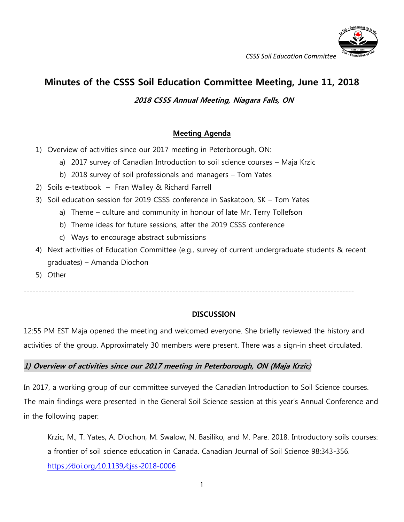

# **Minutes of the CSSS Soil Education Committee Meeting, June 11, 2018**

# **2018 CSSS Annual Meeting, Niagara Falls, ON**

# **Meeting Agenda**

- 1) Overview of activities since our 2017 meeting in Peterborough, ON:
	- a) 2017 survey of Canadian Introduction to soil science courses Maja Krzic
	- b) 2018 survey of soil professionals and managers Tom Yates
- 2) Soils e-textbook Fran Walley & Richard Farrell
- 3) Soil education session for 2019 CSSS conference in Saskatoon, SK Tom Yates
	- a) Theme culture and community in honour of late Mr. Terry Tollefson
	- b) Theme ideas for future sessions, after the 2019 CSSS conference
	- c) Ways to encourage abstract submissions
- 4) Next activities of Education Committee (e.g., survey of current undergraduate students & recent graduates) – Amanda Diochon
- 5) Other

---------------------------------------------------------------------------------------------------------------

## **DISCUSSION**

12:55 PM EST Maja opened the meeting and welcomed everyone. She briefly reviewed the history and activities of the group. Approximately 30 members were present. There was a sign-in sheet circulated.

## **1) Overview of activities since our 2017 meeting in Peterborough, ON (Maja Krzic)**

In 2017, a working group of our committee surveyed the Canadian Introduction to Soil Science courses. The main findings were presented in the General Soil Science session at this year's Annual Conference and in the following paper:

Krzic, M., T. Yates, A. Diochon, M. Swalow, N. Basiliko, and M. Pare. 2018. Introductory soils courses: a frontier of soil science education in Canada. Canadian Journal of Soil Science 98:343-356. https://doi.org/10.1139/cjss-[2018-0006](https://doi.org/10.1139/cjss-2018-0006)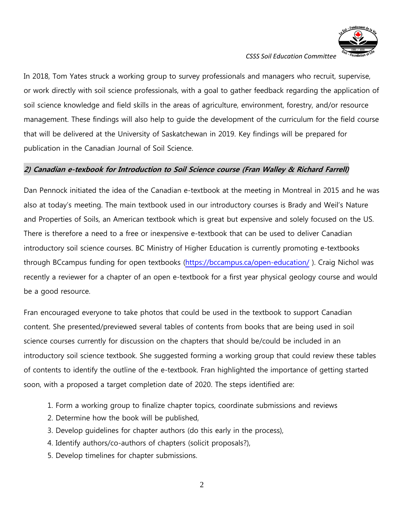

In 2018, Tom Yates struck a working group to survey professionals and managers who recruit, supervise, or work directly with soil science professionals, with a goal to gather feedback regarding the application of soil science knowledge and field skills in the areas of agriculture, environment, forestry, and/or resource management. These findings will also help to guide the development of the curriculum for the field course that will be delivered at the University of Saskatchewan in 2019. Key findings will be prepared for publication in the Canadian Journal of Soil Science.

#### **2) Canadian e-texbook for Introduction to Soil Science course (Fran Walley & Richard Farrell)**

Dan Pennock initiated the idea of the Canadian e-textbook at the meeting in Montreal in 2015 and he was also at today's meeting. The main textbook used in our introductory courses is Brady and Weil's Nature and Properties of Soils, an American textbook which is great but expensive and solely focused on the US. There is therefore a need to a free or inexpensive e-textbook that can be used to deliver Canadian introductory soil science courses. BC Ministry of Higher Education is currently promoting e-textbooks through BCcampus funding for open textbooks [\(https://bccampus.ca/open-education/](https://bccampus.ca/open-education/) ). Craig Nichol was recently a reviewer for a chapter of an open e-textbook for a first year physical geology course and would be a good resource.

Fran encouraged everyone to take photos that could be used in the textbook to support Canadian content. She presented/previewed several tables of contents from books that are being used in soil science courses currently for discussion on the chapters that should be/could be included in an introductory soil science textbook. She suggested forming a working group that could review these tables of contents to identify the outline of the e-textbook. Fran highlighted the importance of getting started soon, with a proposed a target completion date of 2020. The steps identified are:

- 1. Form a working group to finalize chapter topics, coordinate submissions and reviews
- 2. Determine how the book will be published,
- 3. Develop guidelines for chapter authors (do this early in the process),
- 4. Identify authors/co-authors of chapters (solicit proposals?),
- 5. Develop timelines for chapter submissions.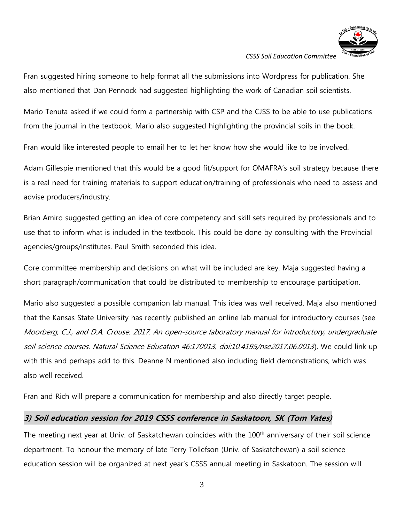

Fran suggested hiring someone to help format all the submissions into Wordpress for publication. She also mentioned that Dan Pennock had suggested highlighting the work of Canadian soil scientists.

Mario Tenuta asked if we could form a partnership with CSP and the CJSS to be able to use publications from the journal in the textbook. Mario also suggested highlighting the provincial soils in the book.

Fran would like interested people to email her to let her know how she would like to be involved.

Adam Gillespie mentioned that this would be a good fit/support for OMAFRA's soil strategy because there is a real need for training materials to support education/training of professionals who need to assess and advise producers/industry.

Brian Amiro suggested getting an idea of core competency and skill sets required by professionals and to use that to inform what is included in the textbook. This could be done by consulting with the Provincial agencies/groups/institutes. Paul Smith seconded this idea.

Core committee membership and decisions on what will be included are key. Maja suggested having a short paragraph/communication that could be distributed to membership to encourage participation.

Mario also suggested a possible companion lab manual. This idea was well received. Maja also mentioned that the Kansas State University has recently published an online lab manual for introductory courses (see Moorberg, C.J., and D.A. Crouse. 2017. An open-source laboratory manual for introductory, undergraduate soil science courses. Natural Science Education 46:170013, doi:10.4195/nse2017.06.0013). We could link up with this and perhaps add to this. Deanne N mentioned also including field demonstrations, which was also well received.

Fran and Rich will prepare a communication for membership and also directly target people.

# **3) Soil education session for 2019 CSSS conference in Saskatoon, SK (Tom Yates)**

The meeting next year at Univ. of Saskatchewan coincides with the 100<sup>th</sup> anniversary of their soil science department. To honour the memory of late Terry Tollefson (Univ. of Saskatchewan) a soil science education session will be organized at next year's CSSS annual meeting in Saskatoon. The session will